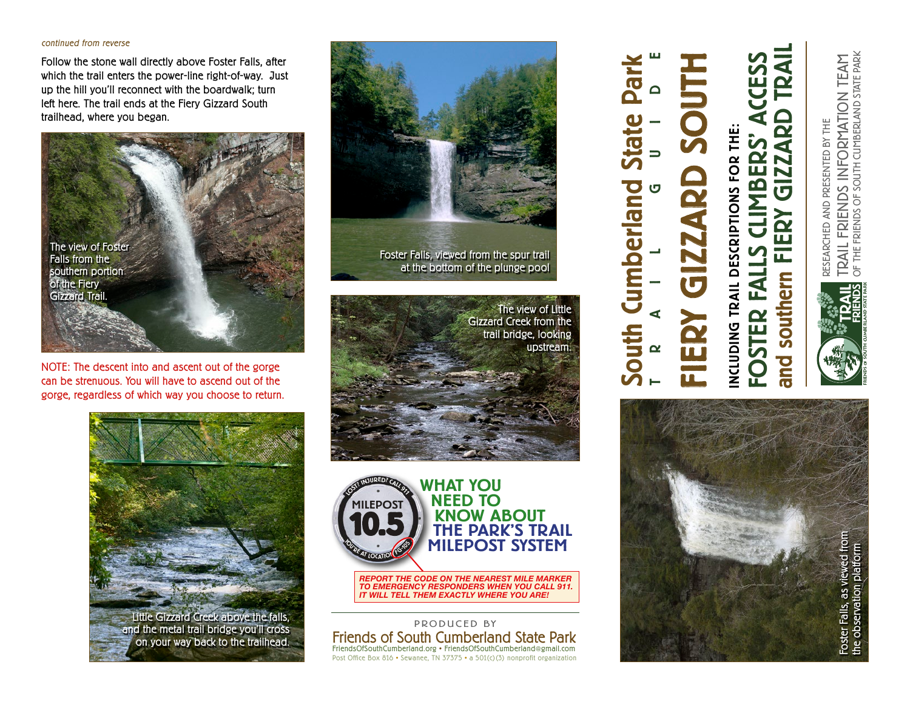## continued from reverse

Follow the stone wall directly above Foster Falls, after which the trail enters the power-line right-of-way. Just up the hill you'll reconnect with the boardwalk; turn left here. The trail ends at the Fiery Gizzard South trailhead, where you began.



NOTE: The descent into and ascent out of the gorge can be strenuous. You will have to ascend out of the gorge, regardless of which way you choose to return.



Little Gizzard Creek above the falls, and the metal trail bridge you'll cross on your way back to the trailhead.



Foster Falls, viewed from the spur trail at the bottom of the plunge pool

South Cumberland State Park

**Lumberland** 

outh

**P** 

TRAIL GUIDE

FIERY GIZZARD SOUTH

 $\overline{\mathbf{G}}$ 

 $\frac{2}{1}$ 

INCLUDING TRAIL DESCRIPTIONS FOR THE:

NCLUDING TRAIL DESCRIPTIONS FOR THE:

FOSTER FALLS CLIMBERS' ACCESS

**DSTER FAL** 

ERS

 $\overline{\mathbf{r}}$ 

and southern FIERY GIZZARD TRAIL

FIERY

southern

and

 $\boldsymbol{\alpha}$ 

**Q** 

GIZZ





actual size: 4.5"diameter *REPORT THE CODE ON THE NEAREST MILE MARKER TO EMERGENCY RESPONDERS WHEN YOU CALL 911. IT WILL TELL THEM EXACTLY WHERE YOU ARE!*

Friends of South Cumberland State Park FriendsOfSouthCumberland.org • FriendsOfSouthCumberland@gmail.com Post Office Box 816 • Sewanee, TN 37375 • a 501(c)(3) nonprofit organization PRODUCED BY

TRAIL FRIENDS INFORMATION TEAM<br>of the friends of south cumberland state park OF THE FRIENDS OF SOUTH CUMBERLAND STATE PARK TRAIL FRIENDS INFORMATION TEAM RESEARCHED AND PRESENTED BY THE RESEARCHED AND PRESENTED BY THE